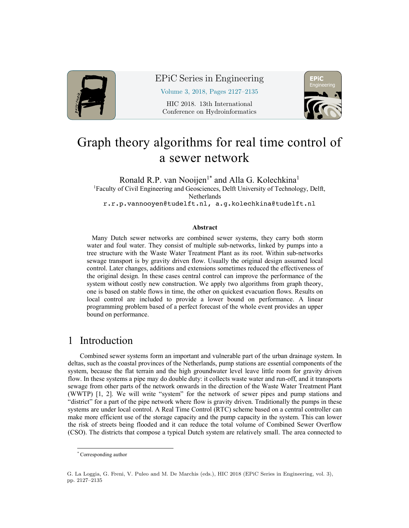

## EPiC Series in Engineering

Volume 3, 2018, Pages 2127–2135

HIC 2018. 13th International Conference on Hydroinformatics



# Graph theory algorithms for real time control of a sewer network

Ronald R.P. van Nooijen<sup>1\*</sup> and Alla G. Kolechkina<sup>1</sup> <sup>1</sup>Faculty of Civil Engineering and Geosciences, Delft University of Technology, Delft, Netherlands r.r.p.vannooyen@tudelft.nl, a.g.kolechkina@tudelft.nl

#### **Abstract**

Many Dutch sewer networks are combined sewer systems, they carry both storm water and foul water. They consist of multiple sub-networks, linked by pumps into a tree structure with the Waste Water Treatment Plant as its root. Within sub-networks sewage transport is by gravity driven flow. Usually the original design assumed local control. Later changes, additions and extensions sometimes reduced the effectiveness of the original design. In these cases central control can improve the performance of the system without costly new construction. We apply two algorithms from graph theory, one is based on stable flows in time, the other on quickest evacuation flows. Results on local control are included to provide a lower bound on performance. A linear programming problem based of a perfect forecast of the whole event provides an upper bound on performance.

# 1 Introduction

Combined sewer systems form an important and vulnerable part of the urban drainage system. In deltas, such as the coastal provinces of the Netherlands, pump stations are essential components of the system, because the flat terrain and the high groundwater level leave little room for gravity driven flow. In these systems a pipe may do double duty: it collects waste water and run-off, and it transports sewage from other parts of the network onwards in the direction of the Waste Water Treatment Plant (WWTP) [1, 2]. We will write "system" for the network of sewer pipes and pump stations and "district" for a part of the pipe network where flow is gravity driven. Traditionally the pumps in these systems are under local control. A Real Time Control (RTC) scheme based on a central controller can make more efficient use of the storage capacity and the pump capacity in the system. This can lower the risk of streets being flooded and it can reduce the total volume of Combined Sewer Overflow (CSO). The districts that compose a typical Dutch system are relatively small. The area connected to

 <sup>\*</sup> Corresponding author

G. La Loggia, G. Freni, V. Puleo and M. De Marchis (eds.), HIC 2018 (EPiC Series in Engineering, vol. 3), pp. 2127–2135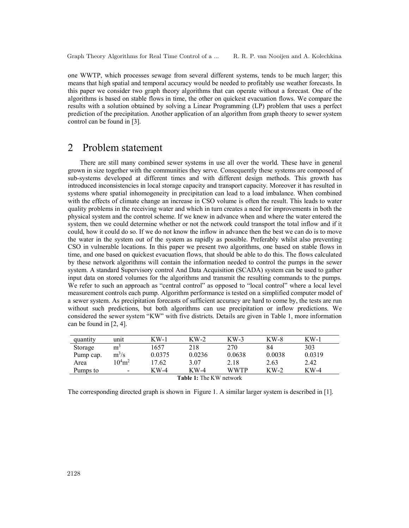one WWTP, which processes sewage from several different systems, tends to be much larger; this means that high spatial and temporal accuracy would be needed to profitably use weather forecasts. In this paper we consider two graph theory algorithms that can operate without a forecast. One of the algorithms is based on stable flows in time, the other on quickest evacuation flows. We compare the results with a solution obtained by solving a Linear Programming (LP) problem that uses a perfect prediction of the precipitation. Another application of an algorithm from graph theory to sewer system control can be found in [3].

# 2 Problem statement

There are still many combined sewer systems in use all over the world. These have in general grown in size together with the communities they serve. Consequently these systems are composed of sub-systems developed at different times and with different design methods. This growth has introduced inconsistencies in local storage capacity and transport capacity. Moreover it has resulted in systems where spatial inhomogeneity in precipitation can lead to a load imbalance. When combined with the effects of climate change an increase in CSO volume is often the result. This leads to water quality problems in the receiving water and which in turn creates a need for improvements in both the physical system and the control scheme. If we knew in advance when and where the water entered the system, then we could determine whether or not the network could transport the total inflow and if it could, how it could do so. If we do not know the inflow in advance then the best we can do is to move the water in the system out of the system as rapidly as possible. Preferably whilst also preventing CSO in vulnerable locations. In this paper we present two algorithms, one based on stable flows in time, and one based on quickest evacuation flows, that should be able to do this. The flows calculated by these network algorithms will contain the information needed to control the pumps in the sewer system. A standard Supervisory control And Data Acquisition (SCADA) system can be used to gather input data on stored volumes for the algorithms and transmit the resulting commands to the pumps. We refer to such an approach as "central control" as opposed to "local control" where a local level measurement controls each pump. Algorithm performance is tested on a simplified computer model of a sewer system. As precipitation forecasts of sufficient accuracy are hard to come by, the tests are run without such predictions, but both algorithms can use precipitation or inflow predictions. We considered the sewer system "KW" with five districts. Details are given in Table 1, more information can be found in [2, 4].

| quantity         | unit              | $KW-1$ | $KW-2$ | $KW-3$      | $KW-8$ | $KW-1$ |
|------------------|-------------------|--------|--------|-------------|--------|--------|
| Storage          | m                 | 1657   | 218    | 270         | 84     | 303    |
| Pump cap.        | $m^3/s$           | 0.0375 | 0.0236 | 0.0638      | 0.0038 | 0.0319 |
| Area             | $10^4 \text{m}^2$ | 17.62  | 3.07   | 2.18        | 2.63   | 2.42   |
| Pumps to         | $\qquad \qquad$   | $KW-4$ | $KW-4$ | <b>WWTP</b> | $KW-2$ | $KW-4$ |
| $T = 11$ $T = T$ |                   |        |        |             |        |        |

**Table 1:** The KW network

The corresponding directed graph is shown in Figure 1. A similar larger system is described in [1].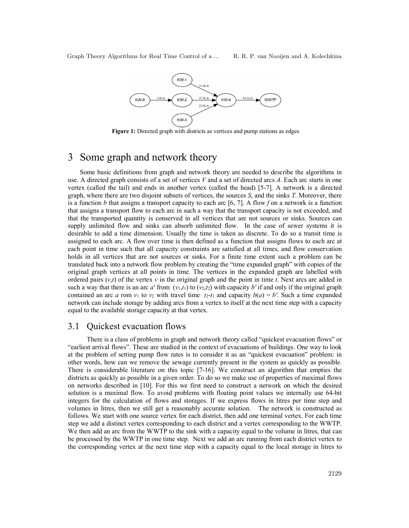Graph Theory Algorithms for Real Time Control of a ... R. R. P. van Nooijen and A. Kolechkina



**Figure 1:** Directed graph with districts as vertices and pump stations as edges

# 3 Some graph and network theory

Some basic definitions from graph and network theory are needed to describe the algorithms in use. A directed graph consists of a set of vertices *V* and a set of directed arcs *A*. Each arc starts in one vertex (called the tail) and ends in another vertex (called the head) [5-7]. A network is a directed graph, where there are two disjoint subsets of vertices, the sources *S*, and the sinks *T*. Moreover, there is a function *b* that assigns a transport capacity to each arc [6, 7]. A flow *f* on a network is a function that assigns a transport flow to each arc in such a way that the transport capacity is not exceeded, and that the transported quantity is conserved in all vertices that are not sources or sinks. Sources can supply unlimited flow and sinks can absorb unlimited flow. In the case of sewer systems it is desirable to add a time dimension. Usually the time is taken as discrete. To do so a transit time is assigned to each arc. A flow over time is then defined as a function that assigns flows to each arc at each point in time such that all capacity constraints are satisfied at all times, and flow conservation holds in all vertices that are not sources or sinks. For a finite time extent such a problem can be translated back into a network flow problem by creating the "time expanded graph" with copies of the original graph vertices at all points in time. The vertices in the expanded graph are labelled with ordered pairs  $(v,t)$  of the vertex  $v$  in the original graph and the point in time  $t$ . Next arcs are added in such a way that there is an arc *a'* from  $(v_1,t_1)$  to  $(v_2,t_2)$  with capacity *b'* if and only if the original graph contained an arc *a* rom  $v_1$  to  $v_2$  with travel time  $t_2$ - $t_1$  and capacity  $b(a) = b'$ . Such a time expanded network can include storage by adding arcs from a vertex to itself at the next time step with a capacity equal to the available storage capacity at that vertex.

## 3.1 Quickest evacuation flows

There is a class of problems in graph and network theory called "quickest evacuation flows" or "earliest arrival flows". These are studied in the context of evacuations of buildings. One way to look at the problem of setting pump flow rates is to consider it as an "quickest evacuation" problem: in other words, how can we remove the sewage currently present in the system as quickly as possible. There is considerable literature on this topic [7-16]. We construct an algorithm that empties the districts as quickly as possible in a given order. To do so we make use of properties of maximal flows on networks described in [10]. For this we first need to construct a network on which the desired solution is a maximal flow. To avoid problems with floating point values we internally use 64-bit integers for the calculation of flows and storages. If we express flows in litres per time step and volumes in litres, then we still get a reasonably accurate solution. The network is constructed as follows. We start with one source vertex for each district, then add one terminal vertex. For each time step we add a distinct vertex corresponding to each district and a vertex corresponding to the WWTP. We then add an arc from the WWTP to the sink with a capacity equal to the volume in litres, that can be processed by the WWTP in one time step. Next we add an arc running from each district vertex to the corresponding vertex at the next time step with a capacity equal to the local storage in litres to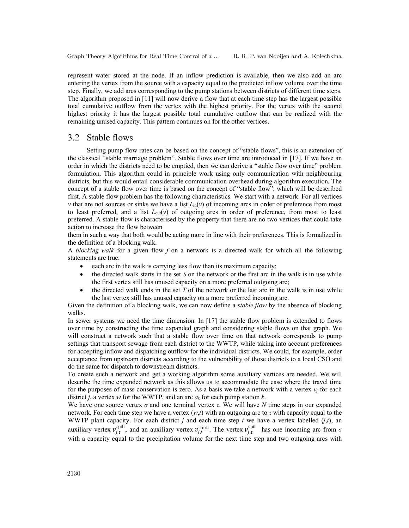represent water stored at the node. If an inflow prediction is available, then we also add an arc entering the vertex from the source with a capacity equal to the predicted inflow volume over the time step. Finally, we add arcs corresponding to the pump stations between districts of different time steps. The algorithm proposed in [11] will now derive a flow that at each time step has the largest possible total cumulative outflow from the vertex with the highest priority. For the vertex with the second highest priority it has the largest possible total cumulative outflow that can be realized with the remaining unused capacity. This pattern continues on for the other vertices.

#### 3.2 Stable flows

Setting pump flow rates can be based on the concept of "stable flows", this is an extension of the classical "stable marriage problem". Stable flows over time are introduced in [17]. If we have an order in which the districts need to be emptied, then we can derive a "stable flow over time" problem formulation. This algorithm could in principle work using only communication with neighbouring districts, but this would entail considerable communication overhead during algorithm execution. The concept of a stable flow over time is based on the concept of "stable flow", which will be described first. A stable flow problem has the following characteristics. We start with a network. For all vertices *v* that are not sources or sinks we have a list  $L<sub>in</sub>(v)$  of incoming arcs in order of preference from most to least preferred, and a list  $L_{out}(v)$  of outgoing arcs in order of preference, from most to least preferred. A stable flow is characterised by the property that there are no two vertices that could take action to increase the flow between

them in such a way that both would be acting more in line with their preferences. This is formalized in the definition of a blocking walk.

A *blocking walk* for a given flow *f* on a network is a directed walk for which all the following statements are true:

- each arc in the walk is carrying less flow than its maximum capacity;
- the directed walk starts in the set *S* on the network or the first arc in the walk is in use while the first vertex still has unused capacity on a more preferred outgoing arc;
- the directed walk ends in the set  $T$  of the network or the last arc in the walk is in use while the last vertex still has unused capacity on a more preferred incoming arc.

Given the definition of a blocking walk, we can now define a *stable flow* by the absence of blocking walks.

In sewer systems we need the time dimension. In [17] the stable flow problem is extended to flows over time by constructing the time expanded graph and considering stable flows on that graph. We will construct a network such that a stable flow over time on that network corresponds to pump settings that transport sewage from each district to the WWTP, while taking into account preferences for accepting inflow and dispatching outflow for the individual districts. We could, for example, order acceptance from upstream districts according to the vulnerability of those districts to a local CSO and do the same for dispatch to downstream districts.

To create such a network and get a working algorithm some auxiliary vertices are needed. We will describe the time expanded network as this allows us to accommodate the case where the travel time for the purposes of mass conservation is zero. As a basis we take a network with a vertex  $v_j$  for each district *j*, a vertex *w* for the WWTP, and an arc *ak* for each pump station *k*.

We have one source vertex *σ* and one terminal vertex *τ*. We will have *N* time steps in our expanded network. For each time step we have a vertex  $(w,t)$  with an outgoing arc to  $\tau$  with capacity equal to the WWTP plant capacity. For each district  $j$  and each time step  $t$  we have a vertex labelled  $(j,t)$ , an auxiliary vertex  $v_{j,t}^{\text{spill}}$ , and an auxiliary vertex  $v_{j,t}^{\text{store}}$ . The vertex  $v_{j,t}^{\text{spill}}$  has one incoming arc from  $\sigma$ with a capacity equal to the precipitation volume for the next time step and two outgoing arcs with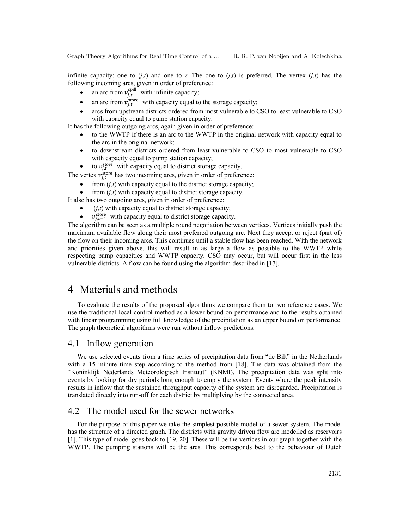Graph Theory Algorithms for Real Time Control of a ... R. R. P. van Nooijen and A. Kolechkina

infinite capacity: one to  $(i,t)$  and one to  $\tau$ . The one to  $(i,t)$  is preferred. The vertex  $(i,t)$  has the following incoming arcs, given in order of preference:

- an arc from  $v_{j,t}^{\text{spill}}$  with infinite capacity;
- an arc from  $v_{j,t}^{\text{store}}$  with capacity equal to the storage capacity;
- arcs from upstream districts ordered from most vulnerable to CSO to least vulnerable to CSO with capacity equal to pump station capacity.

It has the following outgoing arcs, again given in order of preference:

- to the WWTP if there is an arc to the WWTP in the original network with capacity equal to the arc in the original network;
- to downstream districts ordered from least vulnerable to CSO to most vulnerable to CSO with capacity equal to pump station capacity;
- to  $v_{j,t}^{\text{store}}$  with capacity equal to district storage capacity.

The vertex  $v_{j,t}^{\text{store}}$  has two incoming arcs, given in order of preference:

from  $(j,t)$  with capacity equal to the district storage capacity;

from  $(j,t)$  with capacity equal to district storage capacity.

It also has two outgoing arcs, given in order of preference:

- $(j,t)$  with capacity equal to district storage capacity;
- $v_{i,t+1}^{\text{store}}$  with capacity equal to district storage capacity.

The algorithm can be seen as a multiple round negotiation between vertices. Vertices initially push the maximum available flow along their most preferred outgoing arc. Next they accept or reject (part of) the flow on their incoming arcs. This continues until a stable flow has been reached. With the network and priorities given above, this will result in as large a flow as possible to the WWTP while respecting pump capacities and WWTP capacity. CSO may occur, but will occur first in the less vulnerable districts. A flow can be found using the algorithm described in [17].

## 4 Materials and methods

To evaluate the results of the proposed algorithms we compare them to two reference cases. We use the traditional local control method as a lower bound on performance and to the results obtained with linear programming using full knowledge of the precipitation as an upper bound on performance. The graph theoretical algorithms were run without inflow predictions.

## 4.1 Inflow generation

We use selected events from a time series of precipitation data from "de Bilt" in the Netherlands with a 15 minute time step according to the method from [18]. The data was obtained from the "Koninklijk Nederlands Meteorologisch Instituut" (KNMI). The precipitation data was split into events by looking for dry periods long enough to empty the system. Events where the peak intensity results in inflow that the sustained throughput capacity of the system are disregarded. Precipitation is translated directly into run-off for each district by multiplying by the connected area.

## 4.2 The model used for the sewer networks

For the purpose of this paper we take the simplest possible model of a sewer system. The model has the structure of a directed graph. The districts with gravity driven flow are modelled as reservoirs [1]. This type of model goes back to [19, 20]. These will be the vertices in our graph together with the WWTP. The pumping stations will be the arcs. This corresponds best to the behaviour of Dutch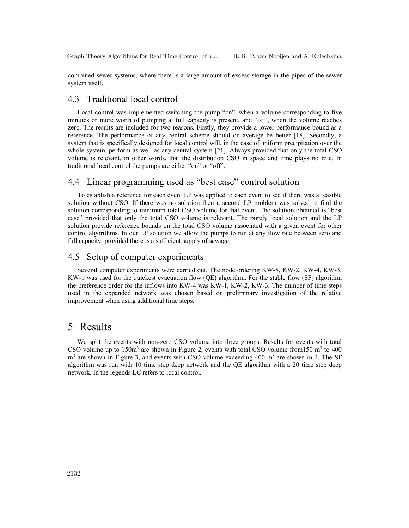combined sewer systems, where there is a large amount of excess storage in the pipes of the sewer system itself.

#### 4.3 Traditional local control

Local control was implemented switching the pump "on", when a volume corresponding to five minutes or more worth of pumping at full capacity is present, and "off', when the volume reaches zero. The results are included for two reasons. Firstly, they provide a lower performance bound as a reference. The performance of any central scheme should on average be better [18]. Secondly, a system that is specifically designed for local control will, in the case of uniform precipitation over the whole system, perform as well as any central system [21]. Always provided that only the total CSO volume is relevant, in other words, that the distribution CSO in space and time plays no role. In traditional local control the pumps are either "on" or "off".

## 4.4 Linear programming used as "best case" control solution

To establish a reference for each event LP was applied to each event to see if there was a feasible solution without CSO. If there was no solution then a second LP problem was solved to find the solution corresponding to minimum total CSO volume for that event. The solution obtained is "best case" provided that only the total CSO volume is relevant. The purely local solution and the LP solution provide reference bounds on the total CSO volume associated with a given event for other control algorithms. In our LP solution we allow the pumps to run at any flow rate between zero and full capacity, provided there is a sufficient supply of sewage.

#### 4.5 Setup of computer experiments

Several computer experiments were carried out. The node ordering KW-8, KW-2, KW-4, KW-3, KW-1 was used for the quickest evacuation flow (QE) algorithm. For the stable flow (SF) algorithm the preference order for the inflows into KW-4 was KW-1, KW-2, KW-3. The number of time steps used in the expanded network was chosen based on preliminary investigation of the relative improvement when using additional time steps.

# 5 Results

We split the events with non-zero CSO volume into three groups. Results for events with total CSO volume up to  $150m<sup>3</sup>$  are shown in Figure 2, events with total CSO volume from 150 m<sup>3</sup> to 400  $m<sup>3</sup>$  are shown in Figure 3, and events with CSO volume exceeding 400  $m<sup>3</sup>$  are shown in 4. The SF algorithm was run with 10 time step deep network and the QE algorithm with a 20 time step deep network. In the legends LC refers to local control.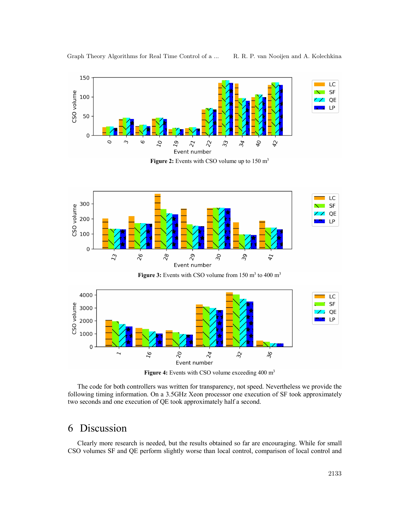

**Figure 2:** Events with CSO volume up to 150 m<sup>3</sup>



Figure 3: Events with CSO volume from 150 m<sup>3</sup> to 400 m<sup>3</sup>



**Figure 4:** Events with CSO volume exceeding 400 m<sup>3</sup>

The code for both controllers was written for transparency, not speed. Nevertheless we provide the following timing information. On a 3.5GHz Xeon processor one execution of SF took approximately two seconds and one execution of QE took approximately half a second.

# 6 Discussion

Clearly more research is needed, but the results obtained so far are encouraging. While for small CSO volumes SF and QE perform slightly worse than local control, comparison of local control and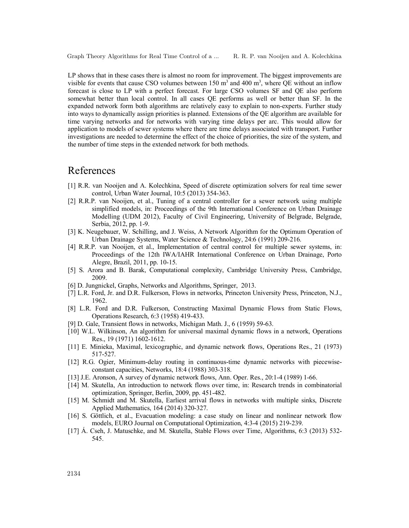LP shows that in these cases there is almost no room for improvement. The biggest improvements are visible for events that cause CSO volumes between  $150 \text{ m}^3$  and  $400 \text{ m}^3$ , where QE without an inflow forecast is close to LP with a perfect forecast. For large CSO volumes SF and QE also perform somewhat better than local control. In all cases QE performs as well or better than SF. In the expanded network form both algorithms are relatively easy to explain to non-experts. Further study into ways to dynamically assign priorities is planned. Extensions of the QE algorithm are available for time varying networks and for networks with varying time delays per arc. This would allow for application to models of sewer systems where there are time delays associated with transport. Further investigations are needed to determine the effect of the choice of priorities, the size of the system, and the number of time steps in the extended network for both methods.

# References

- [1] R.R. van Nooijen and A. Kolechkina, Speed of discrete optimization solvers for real time sewer control, Urban Water Journal, 10:5 (2013) 354-363.
- [2] R.R.P. van Nooijen, et al., Tuning of a central controller for a sewer network using multiple simplified models, in: Proceedings of the 9th International Conference on Urban Drainage Modelling (UDM 2012), Faculty of Civil Engineering, University of Belgrade, Belgrade, Serbia, 2012, pp. 1-9.
- [3] K. Neugebauer, W. Schilling, and J. Weiss, A Network Algorithm for the Optimum Operation of Urban Drainage Systems, Water Science & Technology, 24:6 (1991) 209-216.
- [4] R.R.P. van Nooijen, et al., Implementation of central control for multiple sewer systems, in: Proceedings of the 12th IWA/IAHR International Conference on Urban Drainage, Porto Alegre, Brazil, 2011, pp. 10-15.
- [5] S. Arora and B. Barak, Computational complexity, Cambridge University Press, Cambridge, 2009.
- [6] D. Jungnickel, Graphs, Networks and Algorithms, Springer, 2013.
- [7] L.R. Ford, Jr. and D.R. Fulkerson, Flows in networks, Princeton University Press, Princeton, N.J., 1962.
- [8] L.R. Ford and D.R. Fulkerson, Constructing Maximal Dynamic Flows from Static Flows, Operations Research, 6:3 (1958) 419-433.
- [9] D. Gale, Transient flows in networks, Michigan Math. J., 6 (1959) 59-63.
- [10] W.L. Wilkinson, An algorithm for universal maximal dynamic flows in a network, Operations Res., 19 (1971) 1602-1612.
- [11] E. Minieka, Maximal, lexicographic, and dynamic network flows, Operations Res., 21 (1973) 517-527.
- [12] R.G. Ogier, Minimum-delay routing in continuous-time dynamic networks with piecewiseconstant capacities, Networks, 18:4 (1988) 303-318.
- [13] J.E. Aronson, A survey of dynamic network flows, Ann. Oper. Res., 20:1-4 (1989) 1-66.
- [14] M. Skutella, An introduction to network flows over time, in: Research trends in combinatorial optimization, Springer, Berlin, 2009, pp. 451-482.
- [15] M. Schmidt and M. Skutella, Earliest arrival flows in networks with multiple sinks, Discrete Applied Mathematics, 164 (2014) 320-327.
- [16] S. Göttlich, et al., Evacuation modeling: a case study on linear and nonlinear network flow models, EURO Journal on Computational Optimization, 4:3-4 (2015) 219-239.
- [17] Á. Cseh, J. Matuschke, and M. Skutella, Stable Flows over Time, Algorithms, 6:3 (2013) 532- 545.